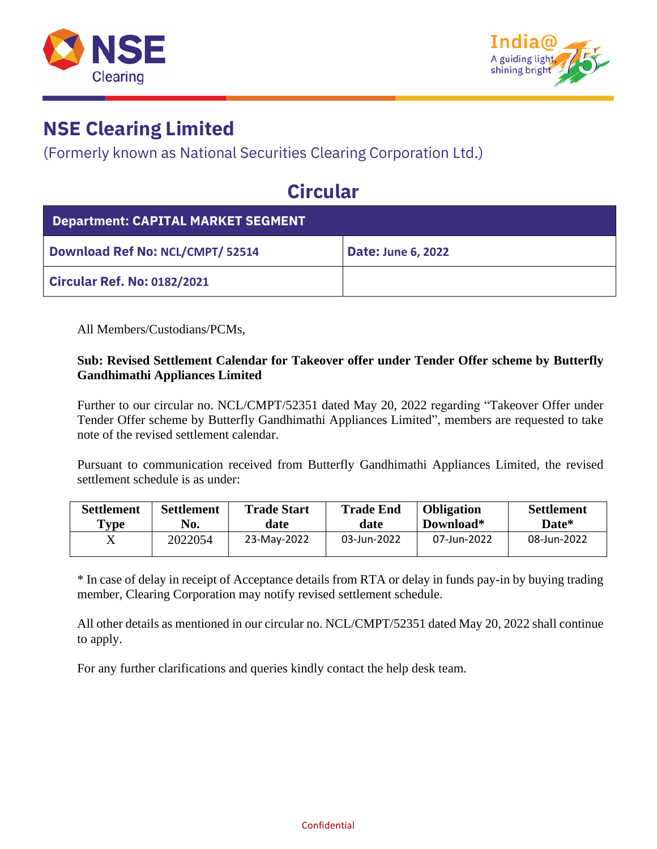



### **NSE Clearing Limited**

(Formerly known as National Securities Clearing Corporation Ltd.)

## **Circular**

| <b>Department: CAPITAL MARKET SEGMENT</b> |                           |  |  |  |
|-------------------------------------------|---------------------------|--|--|--|
| <b>Download Ref No: NCL/CMPT/ 52514</b>   | <b>Date: June 6, 2022</b> |  |  |  |
| <b>Circular Ref. No: 0182/2021</b>        |                           |  |  |  |

All Members/Custodians/PCMs,

#### **Sub: Revised Settlement Calendar for Takeover offer under Tender Offer scheme by Butterfly Gandhimathi Appliances Limited**

Further to our circular no. NCL/CMPT/52351 dated May 20, 2022 regarding "Takeover Offer under Tender Offer scheme by Butterfly Gandhimathi Appliances Limited", members are requested to take note of the revised settlement calendar.

Pursuant to communication received from Butterfly Gandhimathi Appliances Limited, the revised settlement schedule is as under:

| <b>Settlement</b> | <b>Settlement</b> | <b>Trade Start</b> | <b>Trade End</b> | <b>Obligation</b> | <b>Settlement</b> |
|-------------------|-------------------|--------------------|------------------|-------------------|-------------------|
| Type              | No.               | date               | date             | Download*         | Date*             |
|                   | 2022054           | 23-May-2022        | 03-Jun-2022      | 07-Jun-2022       | 08-Jun-2022       |

\* In case of delay in receipt of Acceptance details from RTA or delay in funds pay-in by buying trading member, Clearing Corporation may notify revised settlement schedule.

All other details as mentioned in our circular no. NCL/CMPT/52351 dated May 20, 2022 shall continue to apply.

For any further clarifications and queries kindly contact the help desk team.